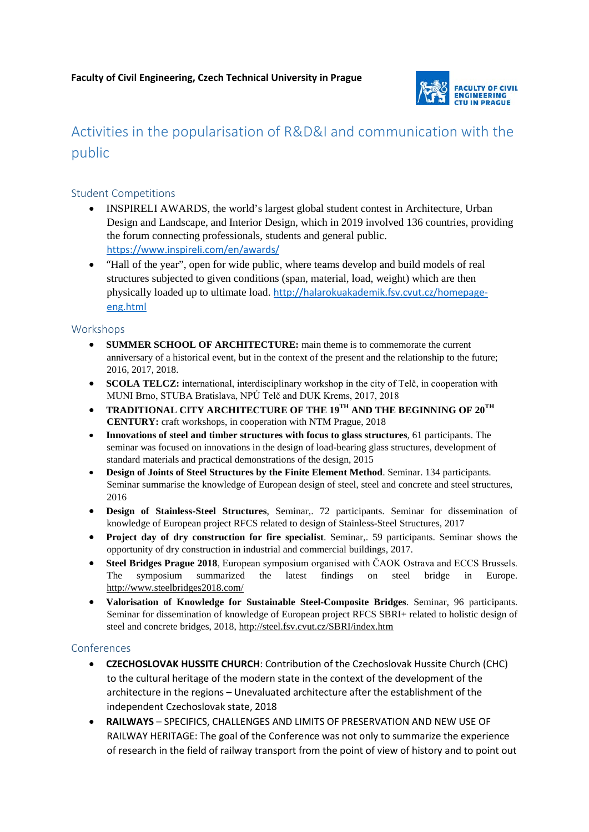

# Activities in the popularisation of R&D&I and communication with the public

## Student Competitions

- INSPIRELI AWARDS, the world's largest global student contest in Architecture, Urban Design and Landscape, and Interior Design, which in 2019 involved 136 countries, providing the forum connecting professionals, students and general public. <https://www.inspireli.com/en/awards/>
- "Hall of the year", open for wide public, where teams develop and build models of real structures subjected to given conditions (span, material, load, weight) which are then physically loaded up to ultimate load. [http://halarokuakademik.fsv.cvut.cz/homepage](http://halarokuakademik.fsv.cvut.cz/homepage-eng.html)[eng.html](http://halarokuakademik.fsv.cvut.cz/homepage-eng.html)

#### Workshops

- **SUMMER SCHOOL OF ARCHITECTURE:** main theme is to commemorate the current anniversary of a historical event, but in the context of the present and the relationship to the future; 2016, 2017, 2018.
- **SCOLA TELCZ:** international, interdisciplinary workshop in the city of Telč, in cooperation with MUNI Brno, STUBA Bratislava, NPÚ Telč and DUK Krems, 2017, 2018
- **TRADITIONAL CITY ARCHITECTURE OF THE 19TH AND THE BEGINNING OF 20TH CENTURY:** craft workshops, in cooperation with NTM Prague, 2018
- **Innovations of steel and timber structures with focus to glass structures**, 61 participants. The seminar was focused on innovations in the design of load-bearing glass structures, development of standard materials and practical demonstrations of the design, 2015
- **Design of Joints of Steel Structures by the Finite Element Method**. Seminar. 134 participants. Seminar summarise the knowledge of European design of steel, steel and concrete and steel structures, 2016
- **Design of Stainless-Steel Structures**, Seminar,. 72 participants. Seminar for dissemination of knowledge of European project RFCS related to design of Stainless-Steel Structures, 2017
- **Project day of dry construction for fire specialist**. Seminar,. 59 participants. Seminar shows the opportunity of dry construction in industrial and commercial buildings, 2017.
- **Steel Bridges Prague 2018**, European symposium organised with ČAOK Ostrava and ECCS Brussels. The symposium summarized the latest findings on steel bridge in Europe. <http://www.steelbridges2018.com/>
- **Valorisation of Knowledge for Sustainable Steel-Composite Bridges**. Seminar, 96 participants. Seminar for dissemination of knowledge of European project RFCS SBRI+ related to holistic design of steel and concrete bridges, 2018[, http://steel.fsv.cvut.cz/SBRI/index.htm](http://steel.fsv.cvut.cz/SBRI/index.htm)

### Conferences

- **CZECHOSLOVAK HUSSITE CHURCH**: Contribution of the Czechoslovak Hussite Church (CHC) to the cultural heritage of the modern state in the context of the development of the architecture in the regions – Unevaluated architecture after the establishment of the independent Czechoslovak state, 2018
- **RAILWAYS**  SPECIFICS, CHALLENGES AND LIMITS OF PRESERVATION AND NEW USE OF RAILWAY HERITAGE: The goal of the Conference was not only to summarize the experience of research in the field of railway transport from the point of view of history and to point out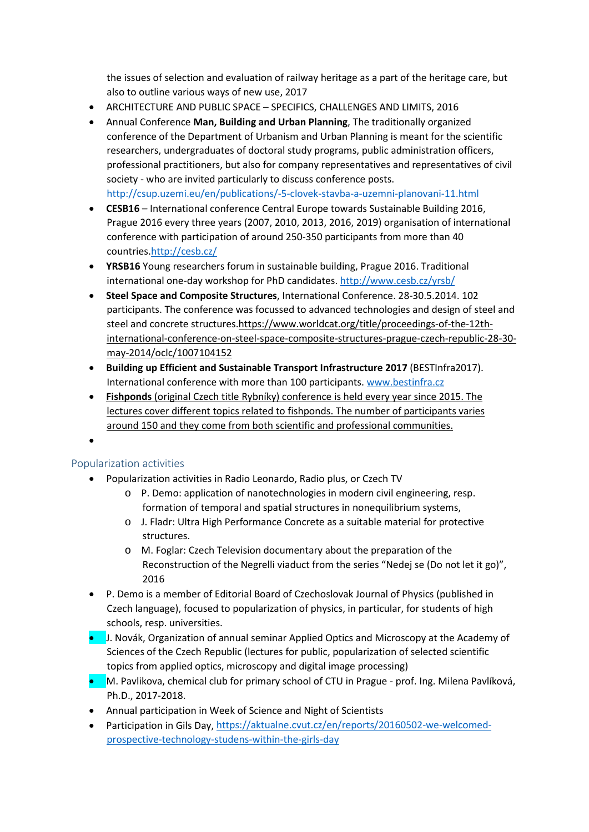the issues of selection and evaluation of railway heritage as a part of the heritage care, but also to outline various ways of new use, 2017

- ARCHITECTURE AND PUBLIC SPACE SPECIFICS, CHALLENGES AND LIMITS, 2016
- Annual Conference **Man, Building and Urban Planning**, The traditionally organized conference of the Department of Urbanism and Urban Planning is meant for the scientific researchers, undergraduates of doctoral study programs, public administration officers, professional practitioners, but also for company representatives and representatives of civil society - who are invited particularly to discuss conference posts. <http://csup.uzemi.eu/en/publications/-5-clovek-stavba-a-uzemni-planovani-11.html>
- **CESB16** International conference Central Europe towards Sustainable Building 2016, Prague 2016 every three years (2007, 2010, 2013, 2016, 2019) organisation of international conference with participation of around 250-350 participants from more than 40 countries[.http://cesb.cz/](http://cesb.cz/)
- **YRSB16** Young researchers forum in sustainable building, Prague 2016. Traditional international one-day workshop for PhD candidates.<http://www.cesb.cz/yrsb/>
- **Steel Space and Composite Structures**, International Conference. 28-30.5.2014. 102 participants. The conference was focussed to advanced technologies and design of steel and steel and concrete structures[.https://www.worldcat.org/title/proceedings-of-the-12th](https://www.worldcat.org/title/proceedings-of-the-12th-international-conference-on-steel-space-composite-structures-prague-czech-republic-28-30-may-2014/oclc/1007104152)[international-conference-on-steel-space-composite-structures-prague-czech-republic-28-30](https://www.worldcat.org/title/proceedings-of-the-12th-international-conference-on-steel-space-composite-structures-prague-czech-republic-28-30-may-2014/oclc/1007104152) [may-2014/oclc/1007104152](https://www.worldcat.org/title/proceedings-of-the-12th-international-conference-on-steel-space-composite-structures-prague-czech-republic-28-30-may-2014/oclc/1007104152)
- **Building up Efficient and Sustainable Transport Infrastructure 2017** (BESTInfra2017). International conference with more than 100 participants. www.bestinfra.cz
- **Fishponds** (original Czech title Rybníky) conference is held every year since 2015. The lectures cover different topics related to fishponds. The number of participants varies around 150 and they come from both scientific and professional communities.

•

## Popularization activities

- Popularization activities in Radio Leonardo, Radio plus, or Czech TV
	- o P. Demo: application of nanotechnologies in modern civil engineering, resp. formation of temporal and spatial structures in nonequilibrium systems,
	- o J. Fladr: Ultra High Performance Concrete as a suitable material for protective structures.
	- o M. Foglar: Czech Television documentary about the preparation of the Reconstruction of the Negrelli viaduct from the series "Nedej se (Do not let it go)", 2016
- P. Demo is a member of Editorial Board of Czechoslovak Journal of Physics (published in Czech language), focused to popularization of physics, in particular, for students of high schools, resp. universities.
- J. Novák, Organization of annual seminar Applied Optics and Microscopy at the Academy of Sciences of the Czech Republic (lectures for public, popularization of selected scientific topics from applied optics, microscopy and digital image processing)
- M. Pavlikova, chemical club for primary school of CTU in Prague prof. Ing. Milena Pavlíková, Ph.D., 2017-2018.
- Annual participation in Week of Science and Night of Scientists
- Participation in Gils Day[, https://aktualne.cvut.cz/en/reports/20160502-we-welcomed](https://aktualne.cvut.cz/en/reports/20160502-we-welcomed-prospective-technology-studens-within-the-girls-day)[prospective-technology-studens-within-the-girls-day](https://aktualne.cvut.cz/en/reports/20160502-we-welcomed-prospective-technology-studens-within-the-girls-day)